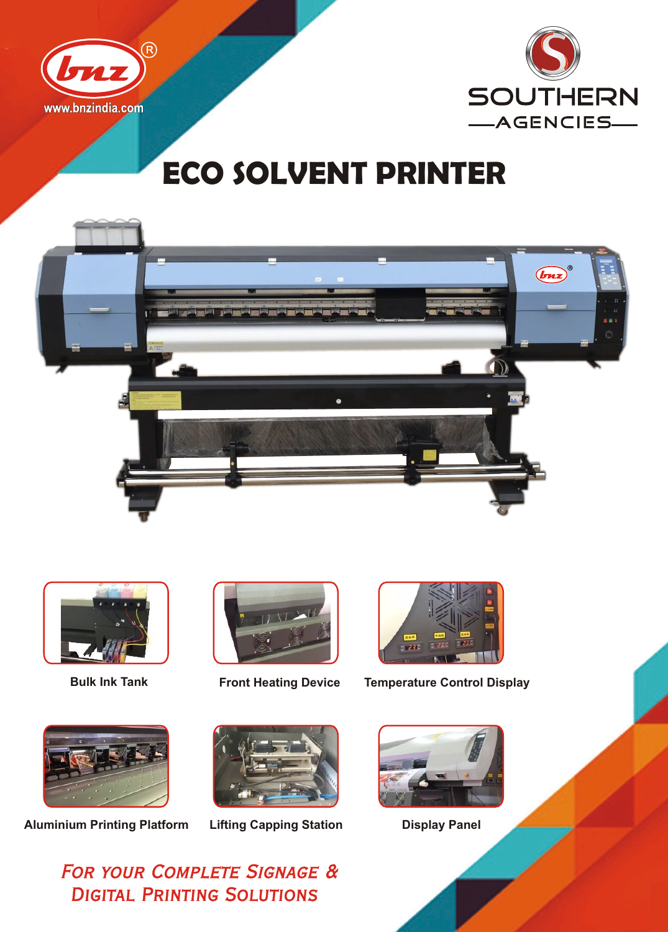



## **ECO SOLVENT PRINTER**









**Bulk Ink Tank Front Heating Device Temperature Control Display**



**Aluminium Printing Platform Lifting Capping Station Display Panel**





**FOR YOUR COMPLETE SIGNAGE & DIGITAL PRINTING SOLUTIONS**